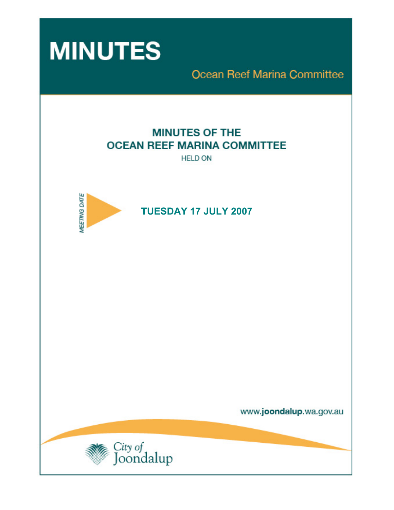

**Ocean Reef Marina Committee** 

# **MINUTES OF THE OCEAN REEF MARINA COMMITTEE**

**HELD ON** 



www.joondalup.wa.gov.au

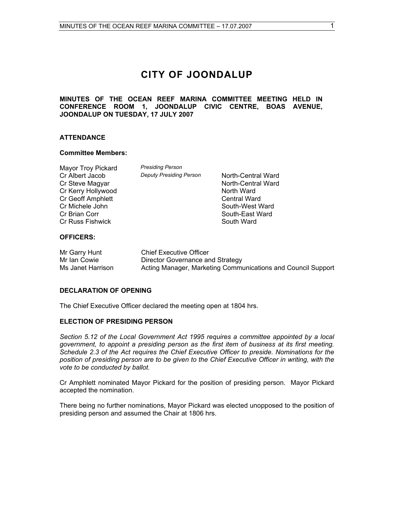## **CITY OF JOONDALUP**

#### **MINUTES OF THE OCEAN REEF MARINA COMMITTEE MEETING HELD IN CONFERENCE ROOM 1, JOONDALUP CIVIC CENTRE, BOAS AVENUE, JOONDALUP ON TUESDAY, 17 JULY 2007**

#### **ATTENDANCE**

#### **Committee Members:**

| <b>Mayor Troy Pickard</b> | <b>Presiding Person</b>    |
|---------------------------|----------------------------|
| Cr Albert Jacob           | <b>Deputy Presiding Pe</b> |
| Cr Steve Magyar           |                            |
| Cr Kerry Hollywood        |                            |
| Cr Geoff Amphlett         |                            |
| Cr Michele John           |                            |
| Cr Brian Corr             |                            |
| <b>Cr Russ Fishwick</b>   |                            |
|                           |                            |

*Prson* **Deputy Department Person** *Depth*-Central Ward North-Central Ward North Ward Central Ward South-West Ward South-East Ward South Ward

#### **OFFICERS:**

| Mr Garry Hunt     | Chief Executive Officer                                      |
|-------------------|--------------------------------------------------------------|
| Mr Ian Cowie      | Director Governance and Strategy                             |
| Ms Janet Harrison | Acting Manager, Marketing Communications and Council Support |

#### **DECLARATION OF OPENING**

The Chief Executive Officer declared the meeting open at 1804 hrs.

#### **ELECTION OF PRESIDING PERSON**

*Section 5.12 of the Local Government Act 1995 requires a committee appointed by a local government, to appoint a presiding person as the first item of business at its first meeting. Schedule 2.3 of the Act requires the Chief Executive Officer to preside. Nominations for the position of presiding person are to be given to the Chief Executive Officer in writing, with the vote to be conducted by ballot.* 

Cr Amphlett nominated Mayor Pickard for the position of presiding person. Mayor Pickard accepted the nomination.

There being no further nominations, Mayor Pickard was elected unopposed to the position of presiding person and assumed the Chair at 1806 hrs.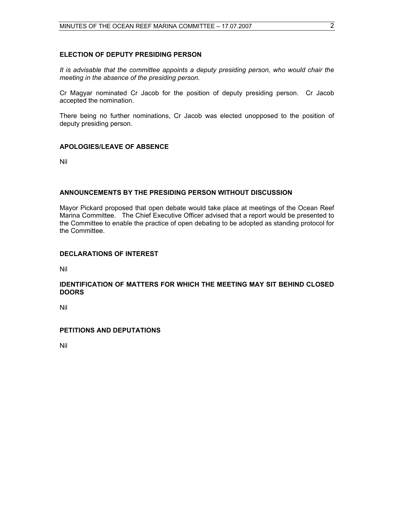#### **ELECTION OF DEPUTY PRESIDING PERSON**

*It is advisable that the committee appoints a deputy presiding person, who would chair the meeting in the absence of the presiding person.* 

Cr Magyar nominated Cr Jacob for the position of deputy presiding person. Cr Jacob accepted the nomination.

There being no further nominations, Cr Jacob was elected unopposed to the position of deputy presiding person.

#### **APOLOGIES/LEAVE OF ABSENCE**

Nil

#### **ANNOUNCEMENTS BY THE PRESIDING PERSON WITHOUT DISCUSSION**

Mayor Pickard proposed that open debate would take place at meetings of the Ocean Reef Marina Committee. The Chief Executive Officer advised that a report would be presented to the Committee to enable the practice of open debating to be adopted as standing protocol for the Committee.

#### **DECLARATIONS OF INTEREST**

Nil

#### **IDENTIFICATION OF MATTERS FOR WHICH THE MEETING MAY SIT BEHIND CLOSED DOORS**

Nil

#### **PETITIONS AND DEPUTATIONS**

Nil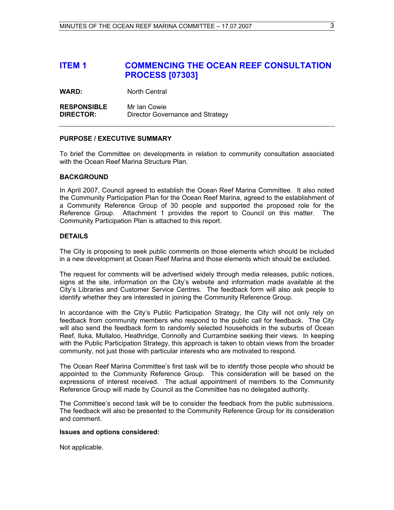### **ITEM 1 COMMENCING THE OCEAN REEF CONSULTATION PROCESS [07303]**

**WARD:** North Central

**RESPONSIBLE** Mr Ian Cowie **DIRECTOR:** Director Governance and Strategy

#### **PURPOSE / EXECUTIVE SUMMARY**

To brief the Committee on developments in relation to community consultation associated with the Ocean Reef Marina Structure Plan.

#### **BACKGROUND**

In April 2007, Council agreed to establish the Ocean Reef Marina Committee. It also noted the Community Participation Plan for the Ocean Reef Marina, agreed to the establishment of a Community Reference Group of 30 people and supported the proposed role for the Reference Group. Attachment 1 provides the report to Council on this matter. The Community Participation Plan is attached to this report.

#### **DETAILS**

The City is proposing to seek public comments on those elements which should be included in a new development at Ocean Reef Marina and those elements which should be excluded.

The request for comments will be advertised widely through media releases, public notices, signs at the site, information on the City's website and information made available at the City's Libraries and Customer Service Centres. The feedback form will also ask people to identify whether they are interested in joining the Community Reference Group.

In accordance with the City's Public Participation Strategy, the City will not only rely on feedback from community members who respond to the public call for feedback. The City will also send the feedback form to randomly selected households in the suburbs of Ocean Reef, Iluka, Mullaloo, Heathridge, Connolly and Currambine seeking their views. In keeping with the Public Participation Strategy, this approach is taken to obtain views from the broader community, not just those with particular interests who are motivated to respond.

The Ocean Reef Marina Committee's first task will be to identify those people who should be appointed to the Community Reference Group. This consideration will be based on the expressions of interest received. The actual appointment of members to the Community Reference Group will made by Council as the Committee has no delegated authority.

The Committee's second task will be to consider the feedback from the public submissions. The feedback will also be presented to the Community Reference Group for its consideration and comment.

#### **Issues and options considered:**

Not applicable.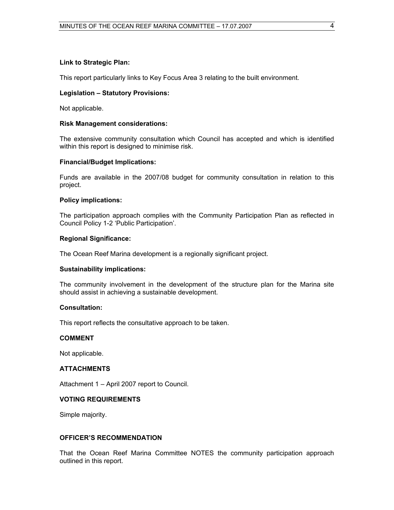#### **Link to Strategic Plan:**

This report particularly links to Key Focus Area 3 relating to the built environment.

#### **Legislation – Statutory Provisions:**

Not applicable.

#### **Risk Management considerations:**

The extensive community consultation which Council has accepted and which is identified within this report is designed to minimise risk.

#### **Financial/Budget Implications:**

Funds are available in the 2007/08 budget for community consultation in relation to this project.

#### **Policy implications:**

The participation approach complies with the Community Participation Plan as reflected in Council Policy 1-2 'Public Participation'.

#### **Regional Significance:**

The Ocean Reef Marina development is a regionally significant project.

#### **Sustainability implications:**

The community involvement in the development of the structure plan for the Marina site should assist in achieving a sustainable development.

#### **Consultation:**

This report reflects the consultative approach to be taken.

#### **COMMENT**

Not applicable.

#### **ATTACHMENTS**

Attachment 1 – April 2007 report to Council.

#### **VOTING REQUIREMENTS**

Simple majority.

#### **OFFICER'S RECOMMENDATION**

That the Ocean Reef Marina Committee NOTES the community participation approach outlined in this report.